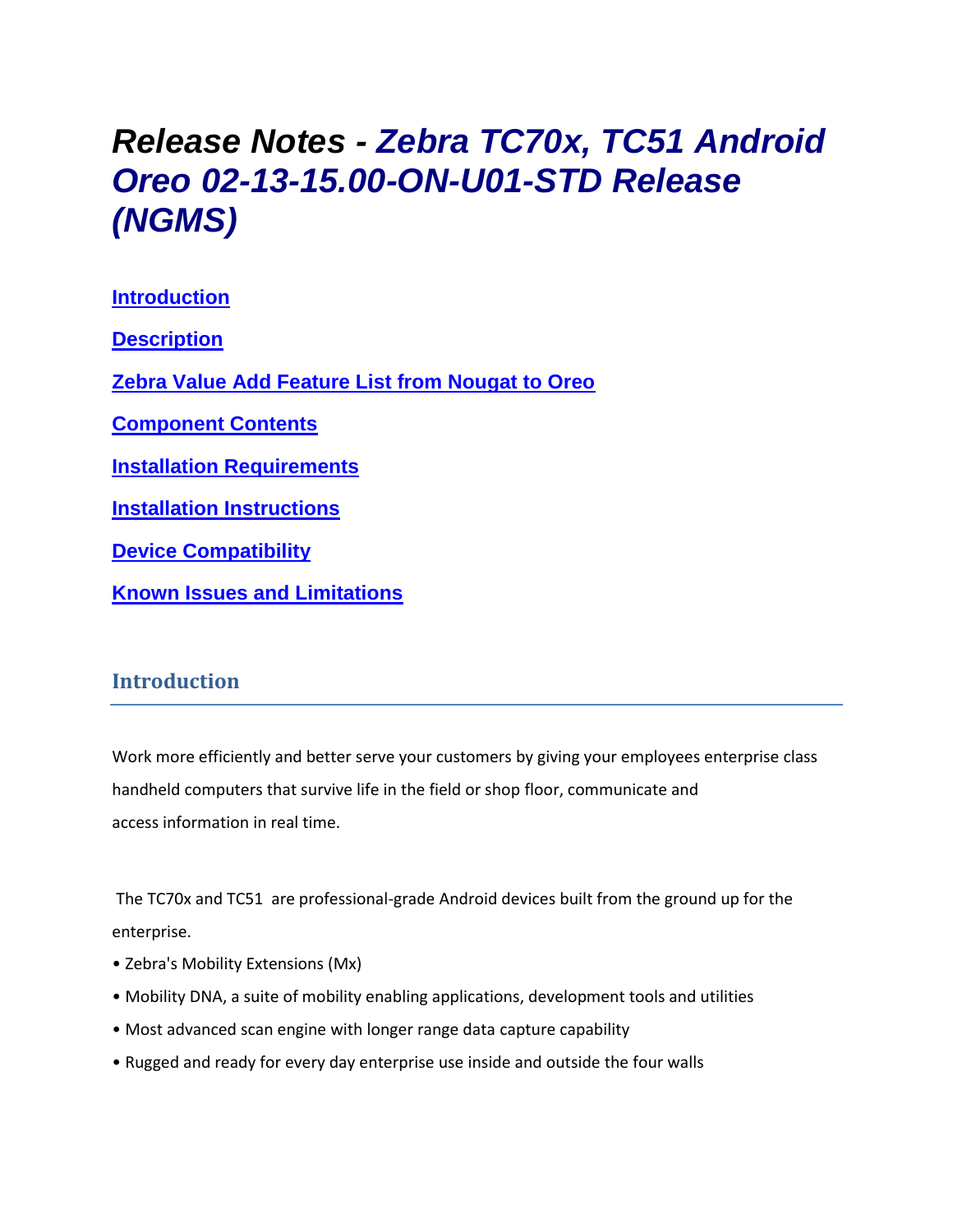# *Release Notes - Zebra TC70x, TC51 Android Oreo 02-13-15.00-ON-U01-STD Release (NGMS)*

**[Introduction](#page-0-0) [Description](#page-0-1) [Zebra Value Add Feature List from Nougat to Oreo](#page-1-0) [Component Contents](#page-2-0) [Installation Requirements](#page-7-0) [Installation Instructions](#page-9-0) [Device Compatibility](#page-12-0) Known [Issues and Limitations](#page-13-0)**

## <span id="page-0-0"></span>**Introduction**

Work more efficiently and better serve your customers by giving your employees enterprise class handheld computers that survive life in the field or shop floor, communicate and access information in real time.

The TC70x and TC51 are professional-grade Android devices built from the ground up for the enterprise.

- Zebra's Mobility Extensions (Mx)
- Mobility DNA, a suite of mobility enabling applications, development tools and utilities
- Most advanced scan engine with longer range data capture capability
- <span id="page-0-1"></span>• Rugged and ready for every day enterprise use inside and outside the four walls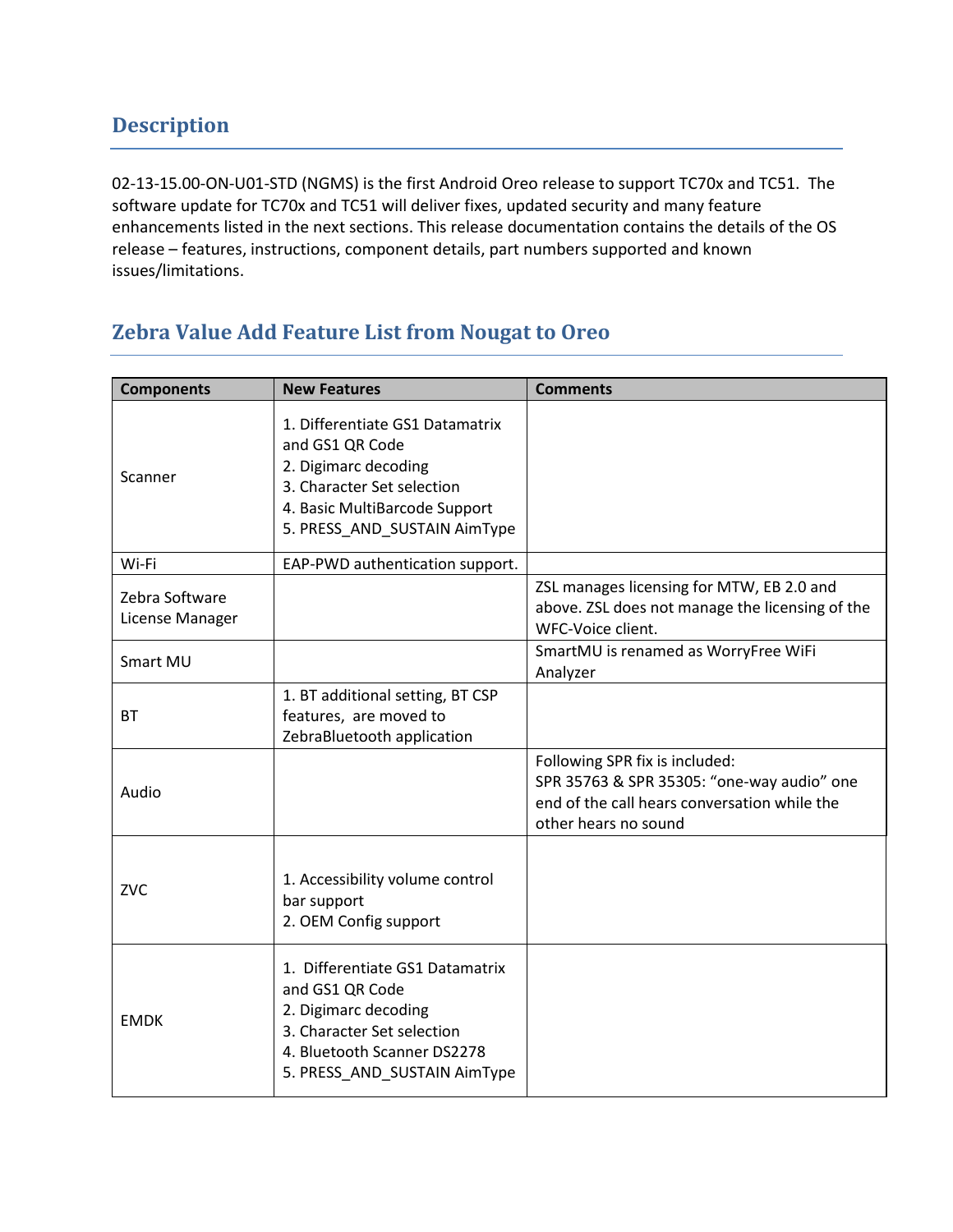02-13-15.00-ON-U01-STD (NGMS) is the first Android Oreo release to support TC70x and TC51. The software update for TC70x and TC51 will deliver fixes, updated security and many feature enhancements listed in the next sections. This release documentation contains the details of the OS release – features, instructions, component details, part numbers supported and known issues/limitations.

## <span id="page-1-0"></span>**Zebra Value Add Feature List from Nougat to Oreo**

| <b>Components</b>                 | <b>New Features</b>                                                                                                                                                       | <b>Comments</b>                                                                                                                                      |
|-----------------------------------|---------------------------------------------------------------------------------------------------------------------------------------------------------------------------|------------------------------------------------------------------------------------------------------------------------------------------------------|
| Scanner                           | 1. Differentiate GS1 Datamatrix<br>and GS1 QR Code<br>2. Digimarc decoding<br>3. Character Set selection<br>4. Basic MultiBarcode Support<br>5. PRESS_AND_SUSTAIN AimType |                                                                                                                                                      |
| Wi-Fi                             | EAP-PWD authentication support.                                                                                                                                           |                                                                                                                                                      |
| Zebra Software<br>License Manager |                                                                                                                                                                           | ZSL manages licensing for MTW, EB 2.0 and<br>above. ZSL does not manage the licensing of the<br>WFC-Voice client.                                    |
| Smart MU                          |                                                                                                                                                                           | SmartMU is renamed as WorryFree WiFi<br>Analyzer                                                                                                     |
| <b>BT</b>                         | 1. BT additional setting, BT CSP<br>features, are moved to<br>ZebraBluetooth application                                                                                  |                                                                                                                                                      |
| Audio                             |                                                                                                                                                                           | Following SPR fix is included:<br>SPR 35763 & SPR 35305: "one-way audio" one<br>end of the call hears conversation while the<br>other hears no sound |
| ZVC                               | 1. Accessibility volume control<br>bar support<br>2. OEM Config support                                                                                                   |                                                                                                                                                      |
| <b>EMDK</b>                       | 1. Differentiate GS1 Datamatrix<br>and GS1 QR Code<br>2. Digimarc decoding<br>3. Character Set selection<br>4. Bluetooth Scanner DS2278<br>5. PRESS_AND_SUSTAIN AimType   |                                                                                                                                                      |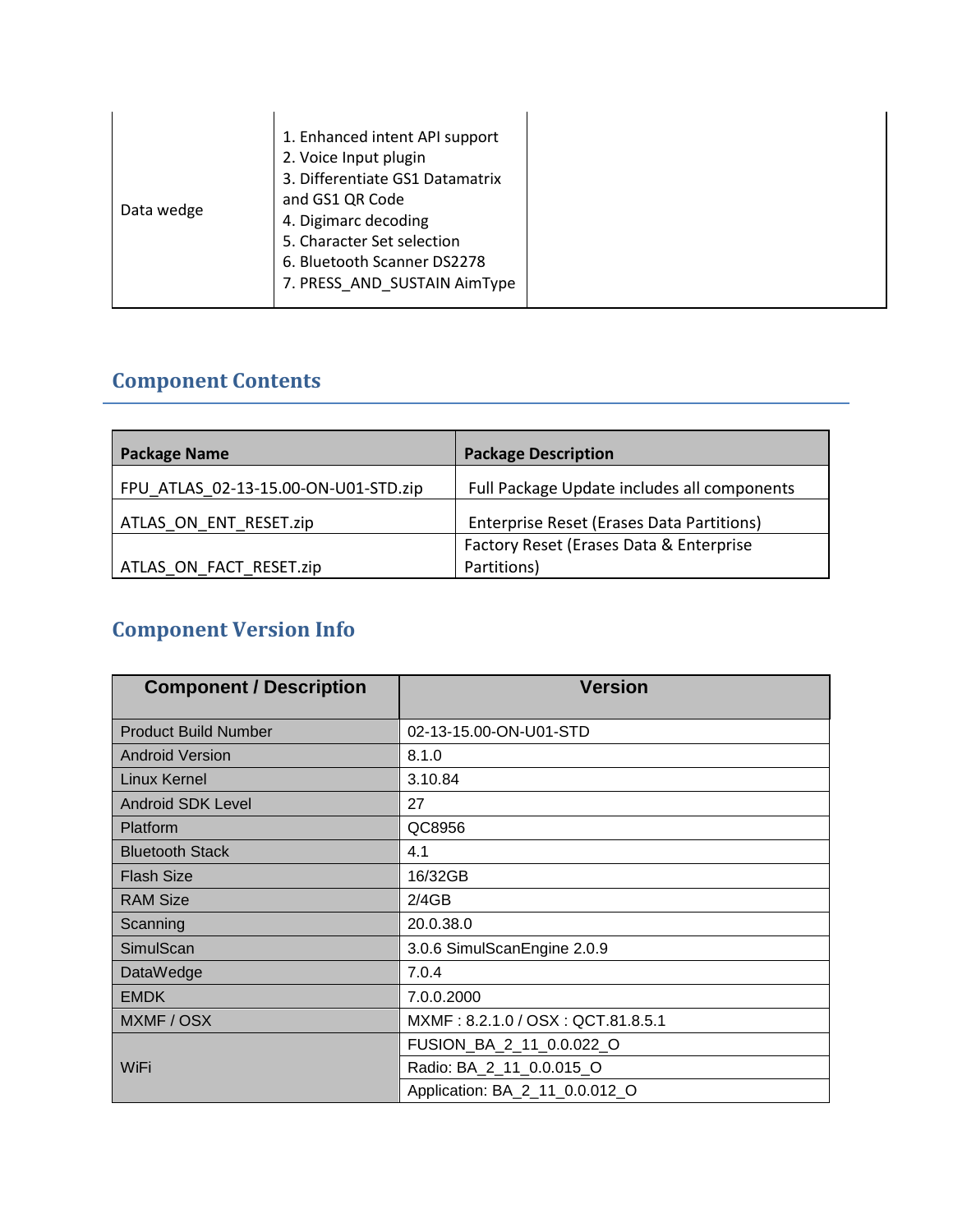| 7. PRESS_AND_SUSTAIN AimType |
|------------------------------|
|------------------------------|

## <span id="page-2-0"></span>**Component Contents**

| <b>Package Name</b>                  | <b>Package Description</b>                  |
|--------------------------------------|---------------------------------------------|
| FPU ATLAS 02-13-15.00-ON-U01-STD.zip | Full Package Update includes all components |
| ATLAS ON ENT RESET.zip               | Enterprise Reset (Erases Data Partitions)   |
|                                      | Factory Reset (Erases Data & Enterprise     |
| ATLAS ON FACT RESET.zip              | Partitions)                                 |

## **Component Version Info**

| <b>Component / Description</b> | <b>Version</b>                    |
|--------------------------------|-----------------------------------|
| <b>Product Build Number</b>    | 02-13-15.00-ON-U01-STD            |
| <b>Android Version</b>         | 8.1.0                             |
| Linux Kernel                   | 3.10.84                           |
| <b>Android SDK Level</b>       | 27                                |
| Platform                       | QC8956                            |
| <b>Bluetooth Stack</b>         | 4.1                               |
| <b>Flash Size</b>              | 16/32GB                           |
| <b>RAM Size</b>                | 2/4GB                             |
| Scanning                       | 20.0.38.0                         |
| SimulScan                      | 3.0.6 SimulScanEngine 2.0.9       |
| DataWedge                      | 7.0.4                             |
| <b>EMDK</b>                    | 7.0.0.2000                        |
| MXMF / OSX                     | MXMF: 8.2.1.0 / OSX: QCT.81.8.5.1 |
|                                | FUSION_BA_2_11_0.0.022_O          |
| WiFi                           | Radio: BA_2_11_0.0.015_O          |
|                                | Application: BA_2_11_0.0.012_O    |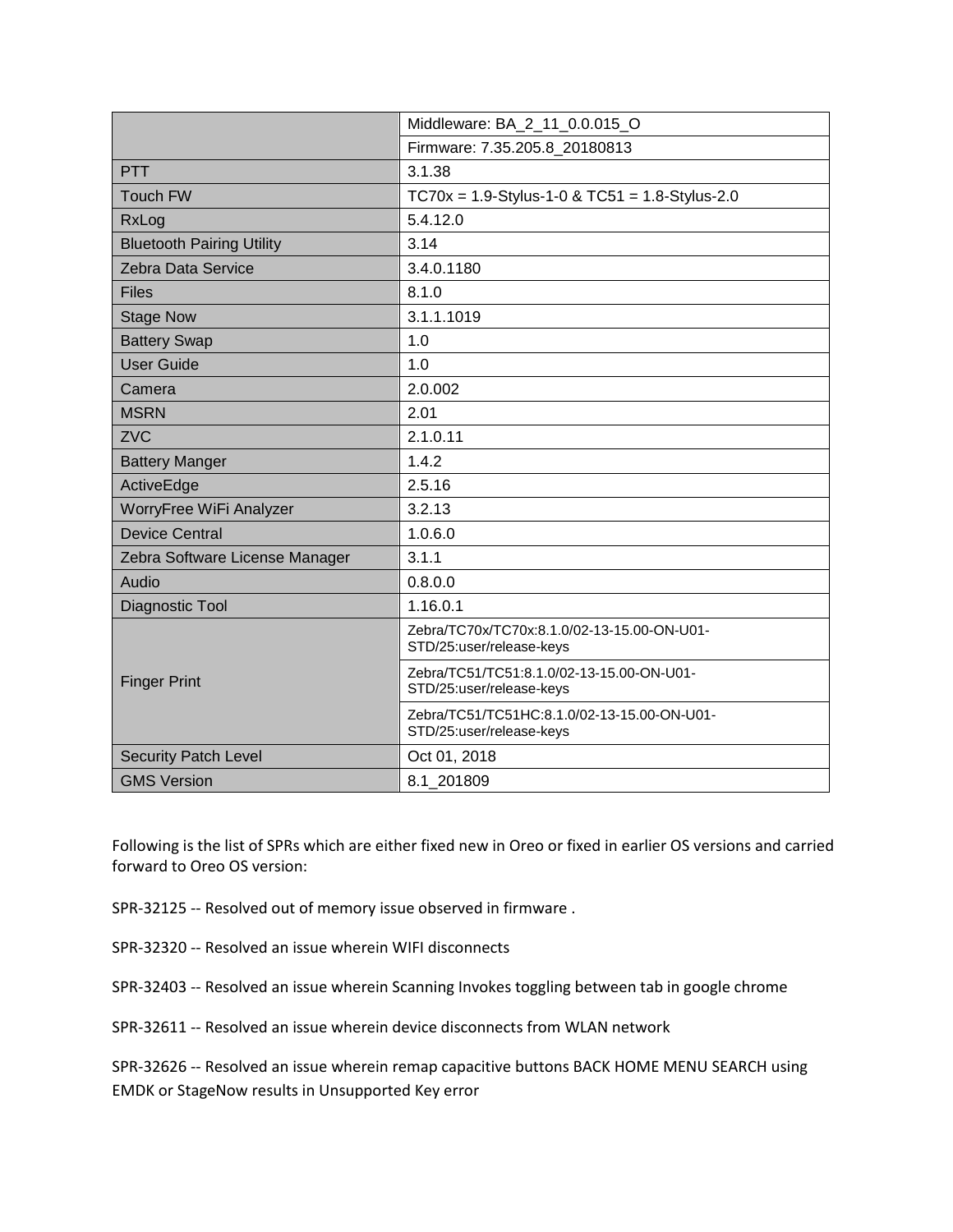|                                  | Middleware: BA_2_11_0.0.015_O                                           |
|----------------------------------|-------------------------------------------------------------------------|
|                                  | Firmware: 7.35.205.8 20180813                                           |
| <b>PTT</b>                       | 3.1.38                                                                  |
| <b>Touch FW</b>                  | $TC70x = 1.9-Stylus-1-0 & TC51 = 1.8-Stylus-2.0$                        |
| RxLog                            | 5.4.12.0                                                                |
| <b>Bluetooth Pairing Utility</b> | 3.14                                                                    |
| Zebra Data Service               | 3.4.0.1180                                                              |
| <b>Files</b>                     | 8.1.0                                                                   |
| <b>Stage Now</b>                 | 3.1.1.1019                                                              |
| <b>Battery Swap</b>              | 1.0                                                                     |
| <b>User Guide</b>                | 1.0                                                                     |
| Camera                           | 2.0.002                                                                 |
| <b>MSRN</b>                      | 2.01                                                                    |
| <b>ZVC</b>                       | 2.1.0.11                                                                |
| <b>Battery Manger</b>            | 1.4.2                                                                   |
| ActiveEdge                       | 2.5.16                                                                  |
| WorryFree WiFi Analyzer          | 3.2.13                                                                  |
| <b>Device Central</b>            | 1.0.6.0                                                                 |
| Zebra Software License Manager   | 3.1.1                                                                   |
| Audio                            | 0.8.0.0                                                                 |
| Diagnostic Tool                  | 1.16.0.1                                                                |
|                                  | Zebra/TC70x/TC70x:8.1.0/02-13-15.00-ON-U01-<br>STD/25:user/release-keys |
| <b>Finger Print</b>              | Zebra/TC51/TC51:8.1.0/02-13-15.00-ON-U01-<br>STD/25:user/release-keys   |
|                                  | Zebra/TC51/TC51HC:8.1.0/02-13-15.00-ON-U01-<br>STD/25:user/release-keys |
| <b>Security Patch Level</b>      | Oct 01, 2018                                                            |
| <b>GMS Version</b>               | 8.1 201809                                                              |

Following is the list of SPRs which are either fixed new in Oreo or fixed in earlier OS versions and carried forward to Oreo OS version:

- SPR-32125 -- Resolved out of memory issue observed in firmware .
- SPR-32320 -- Resolved an issue wherein WIFI disconnects
- SPR-32403 -- Resolved an issue wherein Scanning Invokes toggling between tab in google chrome
- SPR-32611 -- Resolved an issue wherein device disconnects from WLAN network

SPR-32626 -- Resolved an issue wherein remap capacitive buttons BACK HOME MENU SEARCH using EMDK or StageNow results in Unsupported Key error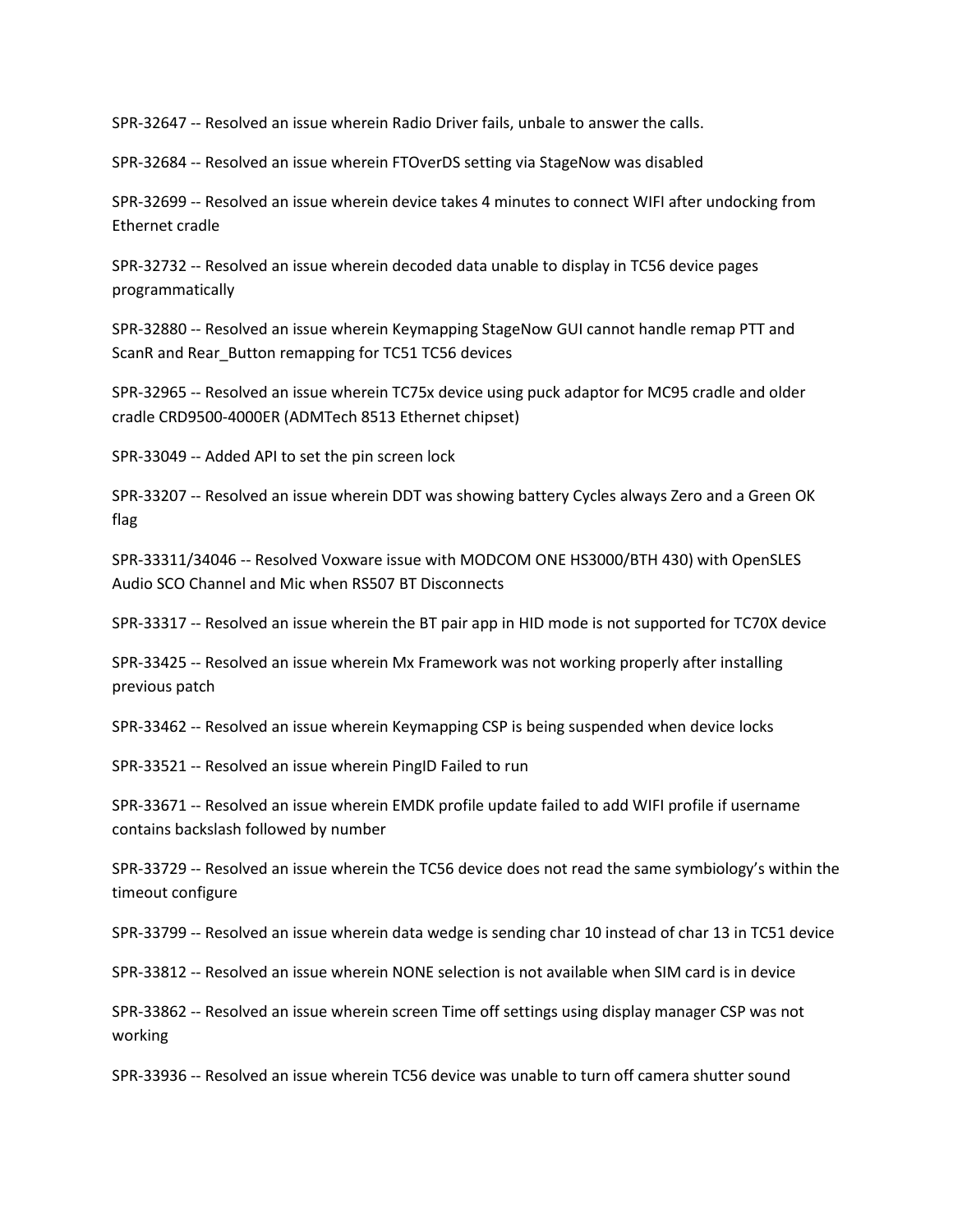SPR-32647 -- Resolved an issue wherein Radio Driver fails, unbale to answer the calls.

SPR-32684 -- Resolved an issue wherein FTOverDS setting via StageNow was disabled

SPR-32699 -- Resolved an issue wherein device takes 4 minutes to connect WIFI after undocking from Ethernet cradle

SPR-32732 -- Resolved an issue wherein decoded data unable to display in TC56 device pages programmatically

SPR-32880 -- Resolved an issue wherein Keymapping StageNow GUI cannot handle remap PTT and ScanR and Rear\_Button remapping for TC51 TC56 devices

SPR-32965 -- Resolved an issue wherein TC75x device using puck adaptor for MC95 cradle and older cradle CRD9500-4000ER (ADMTech 8513 Ethernet chipset)

SPR-33049 -- Added API to set the pin screen lock

SPR-33207 -- Resolved an issue wherein DDT was showing battery Cycles always Zero and a Green OK flag

SPR-33311/34046 -- Resolved Voxware issue with MODCOM ONE HS3000/BTH 430) with OpenSLES Audio SCO Channel and Mic when RS507 BT Disconnects

SPR-33317 -- Resolved an issue wherein the BT pair app in HID mode is not supported for TC70X device

SPR-33425 -- Resolved an issue wherein Mx Framework was not working properly after installing previous patch

SPR-33462 -- Resolved an issue wherein Keymapping CSP is being suspended when device locks

SPR-33521 -- Resolved an issue wherein PingID Failed to run

SPR-33671 -- Resolved an issue wherein EMDK profile update failed to add WIFI profile if username contains backslash followed by number

SPR-33729 -- Resolved an issue wherein the TC56 device does not read the same symbiology's within the timeout configure

SPR-33799 -- Resolved an issue wherein data wedge is sending char 10 instead of char 13 in TC51 device

SPR-33812 -- Resolved an issue wherein NONE selection is not available when SIM card is in device

SPR-33862 -- Resolved an issue wherein screen Time off settings using display manager CSP was not working

SPR-33936 -- Resolved an issue wherein TC56 device was unable to turn off camera shutter sound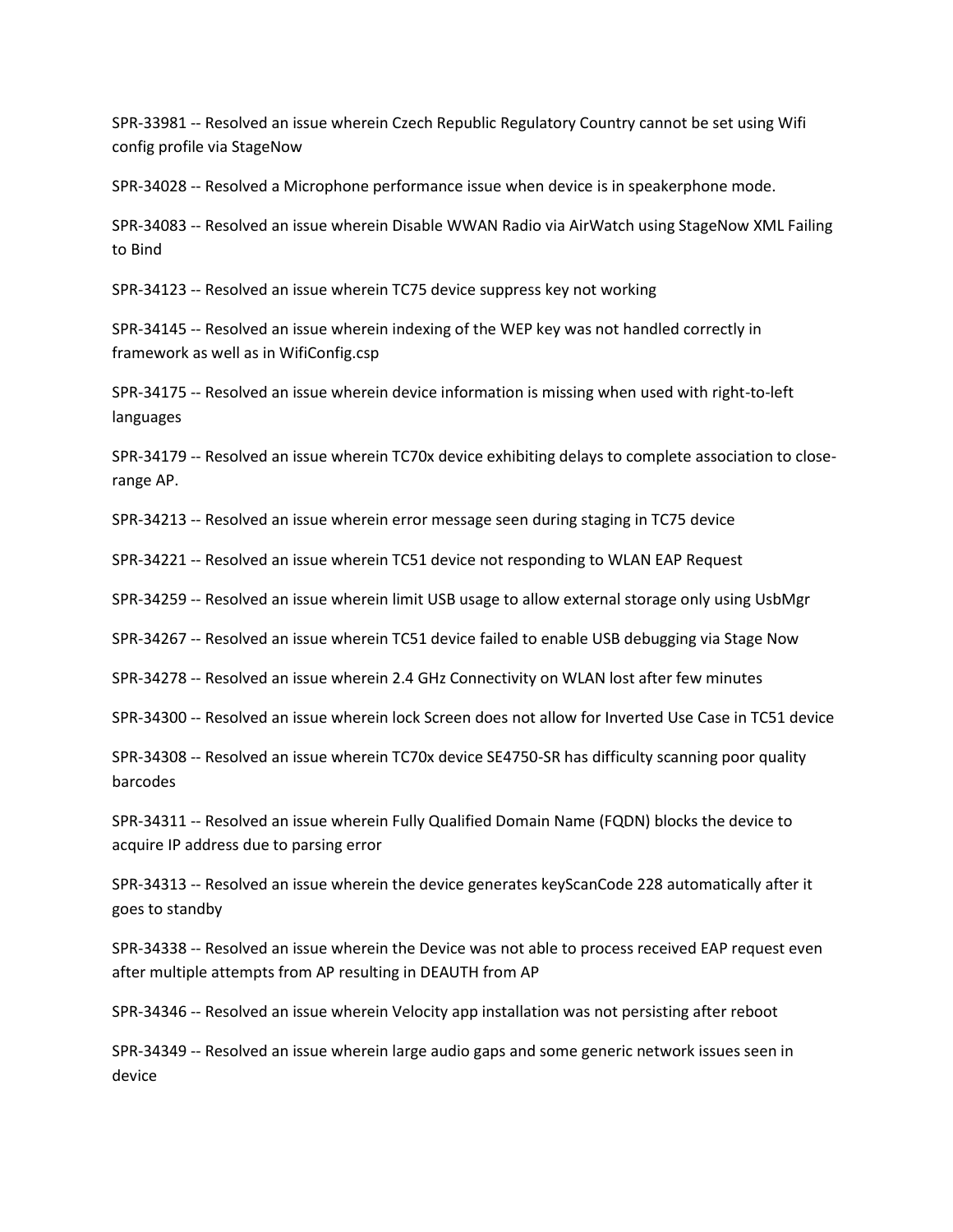SPR-33981 -- Resolved an issue wherein Czech Republic Regulatory Country cannot be set using Wifi config profile via StageNow

SPR-34028 -- Resolved a Microphone performance issue when device is in speakerphone mode.

SPR-34083 -- Resolved an issue wherein Disable WWAN Radio via AirWatch using StageNow XML Failing to Bind

SPR-34123 -- Resolved an issue wherein TC75 device suppress key not working

SPR-34145 -- Resolved an issue wherein indexing of the WEP key was not handled correctly in framework as well as in WifiConfig.csp

SPR-34175 -- Resolved an issue wherein device information is missing when used with right-to-left languages

SPR-34179 -- Resolved an issue wherein TC70x device exhibiting delays to complete association to closerange AP.

SPR-34213 -- Resolved an issue wherein error message seen during staging in TC75 device

SPR-34221 -- Resolved an issue wherein TC51 device not responding to WLAN EAP Request

SPR-34259 -- Resolved an issue wherein limit USB usage to allow external storage only using UsbMgr

SPR-34267 -- Resolved an issue wherein TC51 device failed to enable USB debugging via Stage Now

SPR-34278 -- Resolved an issue wherein 2.4 GHz Connectivity on WLAN lost after few minutes

SPR-34300 -- Resolved an issue wherein lock Screen does not allow for Inverted Use Case in TC51 device

SPR-34308 -- Resolved an issue wherein TC70x device SE4750-SR has difficulty scanning poor quality barcodes

SPR-34311 -- Resolved an issue wherein Fully Qualified Domain Name (FQDN) blocks the device to acquire IP address due to parsing error

SPR-34313 -- Resolved an issue wherein the device generates keyScanCode 228 automatically after it goes to standby

SPR-34338 -- Resolved an issue wherein the Device was not able to process received EAP request even after multiple attempts from AP resulting in DEAUTH from AP

SPR-34346 -- Resolved an issue wherein Velocity app installation was not persisting after reboot

SPR-34349 -- Resolved an issue wherein large audio gaps and some generic network issues seen in device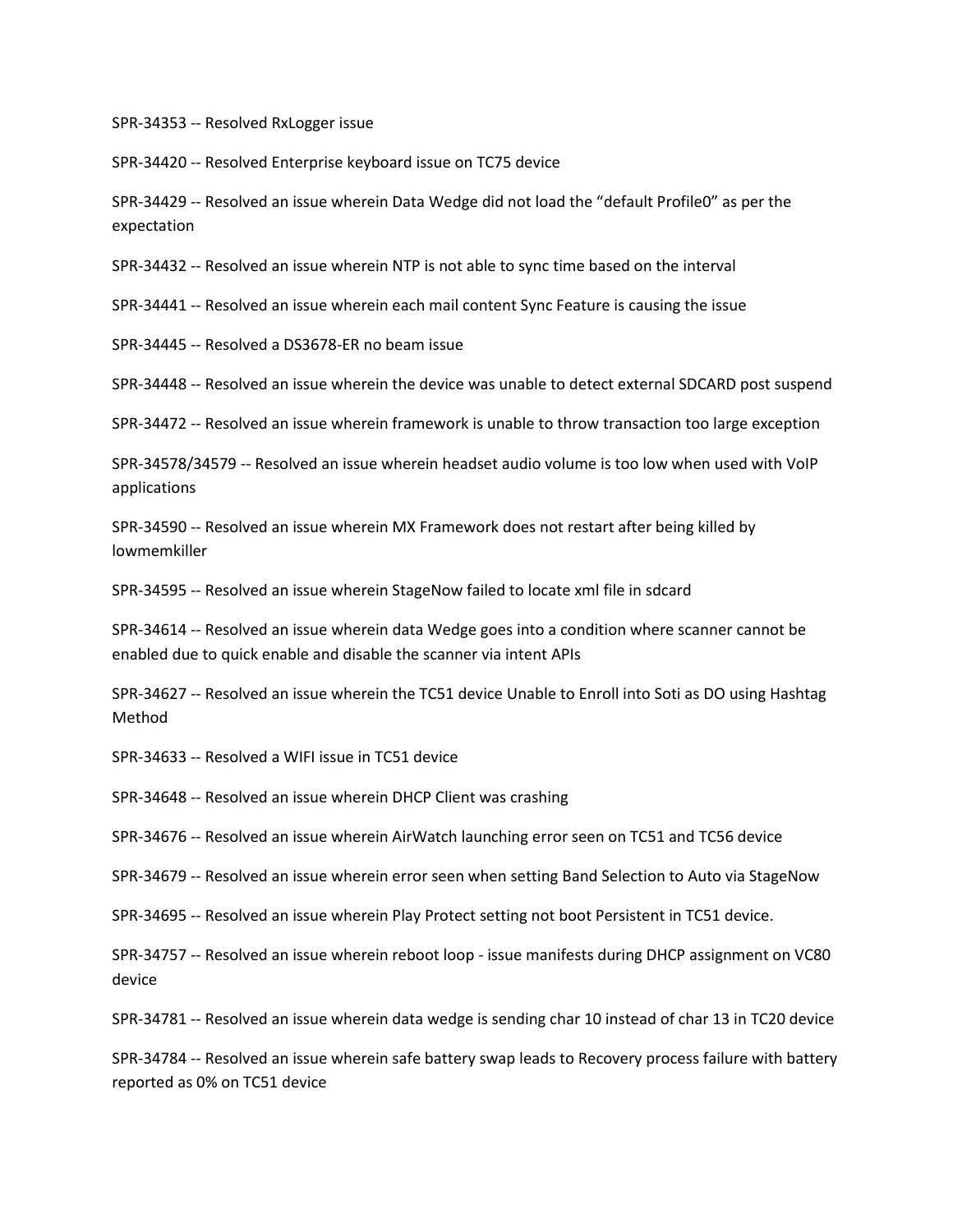SPR-34353 -- Resolved RxLogger issue

SPR-34420 -- Resolved Enterprise keyboard issue on TC75 device

SPR-34429 -- Resolved an issue wherein Data Wedge did not load the "default Profile0" as per the expectation

SPR-34432 -- Resolved an issue wherein NTP is not able to sync time based on the interval

SPR-34441 -- Resolved an issue wherein each mail content Sync Feature is causing the issue

SPR-34445 -- Resolved a DS3678-ER no beam issue

SPR-34448 -- Resolved an issue wherein the device was unable to detect external SDCARD post suspend

SPR-34472 -- Resolved an issue wherein framework is unable to throw transaction too large exception

SPR-34578/34579 -- Resolved an issue wherein headset audio volume is too low when used with VoIP applications

SPR-34590 -- Resolved an issue wherein MX Framework does not restart after being killed by lowmemkiller

SPR-34595 -- Resolved an issue wherein StageNow failed to locate xml file in sdcard

SPR-34614 -- Resolved an issue wherein data Wedge goes into a condition where scanner cannot be enabled due to quick enable and disable the scanner via intent APIs

SPR-34627 -- Resolved an issue wherein the TC51 device Unable to Enroll into Soti as DO using Hashtag Method

SPR-34633 -- Resolved a WIFI issue in TC51 device

SPR-34648 -- Resolved an issue wherein DHCP Client was crashing

SPR-34676 -- Resolved an issue wherein AirWatch launching error seen on TC51 and TC56 device

SPR-34679 -- Resolved an issue wherein error seen when setting Band Selection to Auto via StageNow

SPR-34695 -- Resolved an issue wherein Play Protect setting not boot Persistent in TC51 device.

SPR-34757 -- Resolved an issue wherein reboot loop - issue manifests during DHCP assignment on VC80 device

SPR-34781 -- Resolved an issue wherein data wedge is sending char 10 instead of char 13 in TC20 device

SPR-34784 -- Resolved an issue wherein safe battery swap leads to Recovery process failure with battery reported as 0% on TC51 device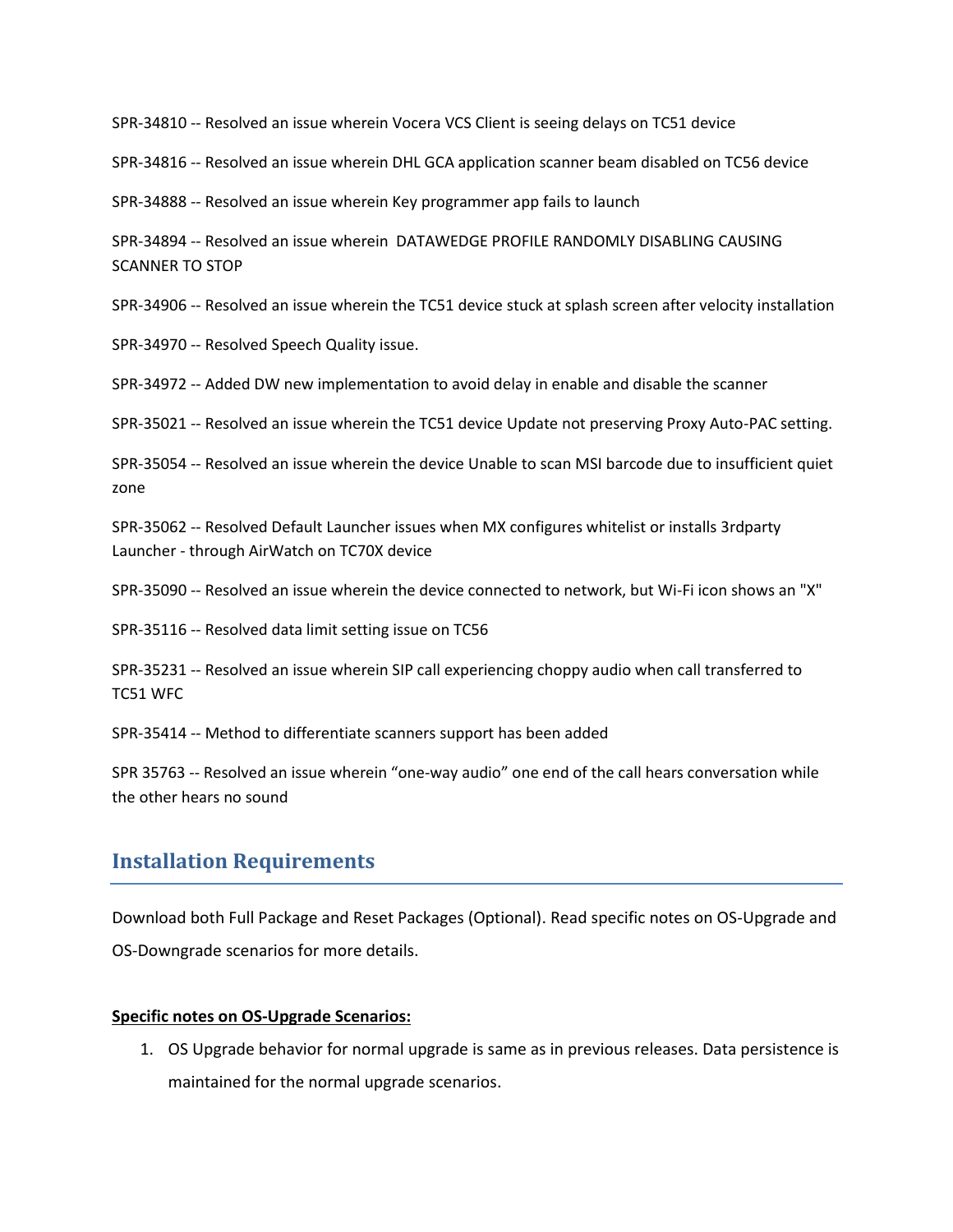SPR-34810 -- Resolved an issue wherein Vocera VCS Client is seeing delays on TC51 device

SPR-34816 -- Resolved an issue wherein DHL GCA application scanner beam disabled on TC56 device

SPR-34888 -- Resolved an issue wherein Key programmer app fails to launch

SPR-34894 -- Resolved an issue wherein DATAWEDGE PROFILE RANDOMLY DISABLING CAUSING SCANNER TO STOP

SPR-34906 -- Resolved an issue wherein the TC51 device stuck at splash screen after velocity installation

SPR-34970 -- Resolved Speech Quality issue.

SPR-34972 -- Added DW new implementation to avoid delay in enable and disable the scanner

SPR-35021 -- Resolved an issue wherein the TC51 device Update not preserving Proxy Auto-PAC setting.

SPR-35054 -- Resolved an issue wherein the device Unable to scan MSI barcode due to insufficient quiet zone

SPR-35062 -- Resolved Default Launcher issues when MX configures whitelist or installs 3rdparty Launcher - through AirWatch on TC70X device

SPR-35090 -- Resolved an issue wherein the device connected to network, but Wi-Fi icon shows an "X"

SPR-35116 -- Resolved data limit setting issue on TC56

SPR-35231 -- Resolved an issue wherein SIP call experiencing choppy audio when call transferred to TC51 WFC

SPR-35414 -- Method to differentiate scanners support has been added

SPR 35763 -- Resolved an issue wherein "one-way audio" one end of the call hears conversation while the other hears no sound

## <span id="page-7-0"></span>**Installation Requirements**

Download both Full Package and Reset Packages (Optional). Read specific notes on OS-Upgrade and OS-Downgrade scenarios for more details.

#### **Specific notes on OS-Upgrade Scenarios:**

1. OS Upgrade behavior for normal upgrade is same as in previous releases. Data persistence is maintained for the normal upgrade scenarios.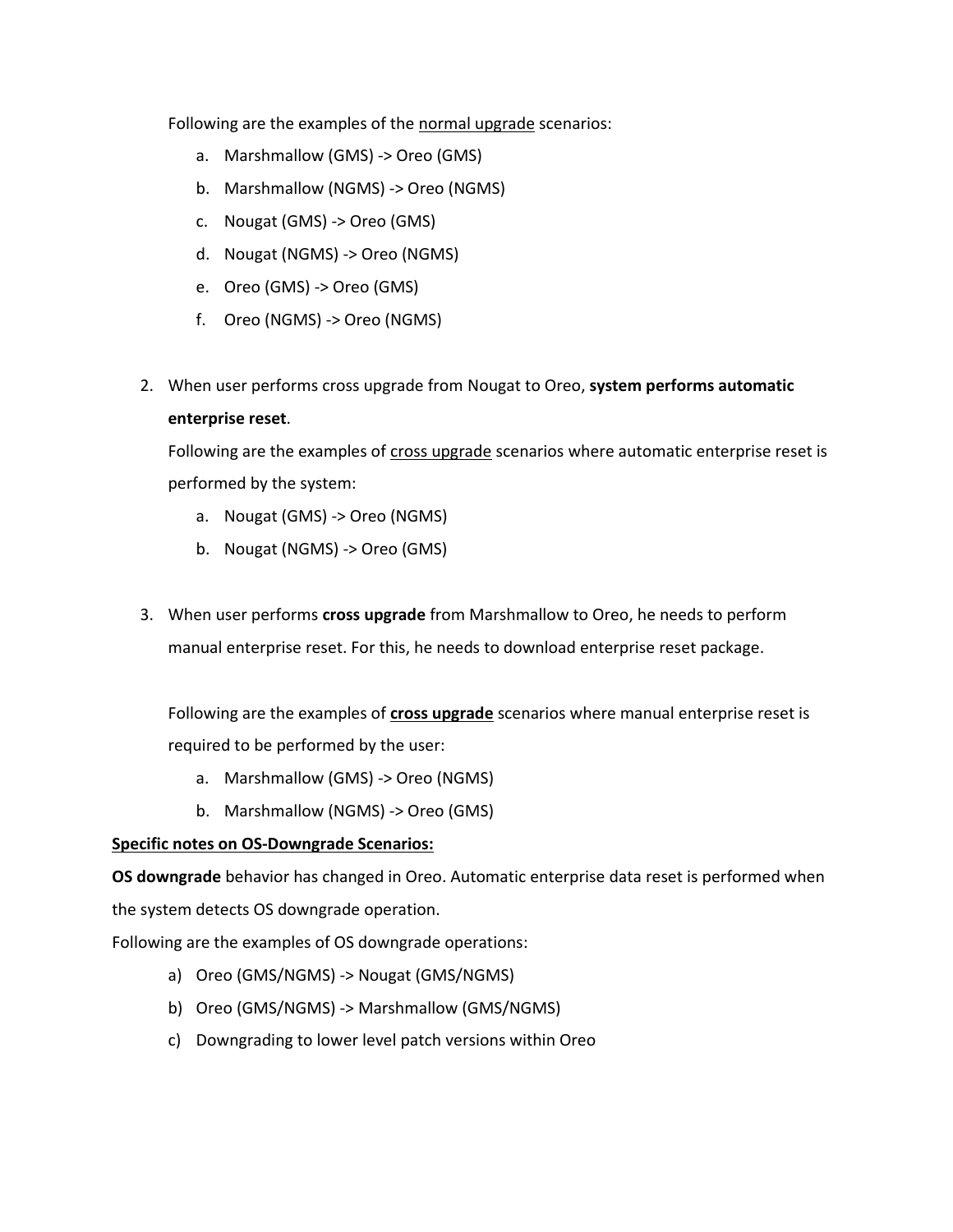Following are the examples of the normal upgrade scenarios:

- a. Marshmallow (GMS) -> Oreo (GMS)
- b. Marshmallow (NGMS) -> Oreo (NGMS)
- c. Nougat (GMS) -> Oreo (GMS)
- d. Nougat (NGMS) -> Oreo (NGMS)
- e. Oreo (GMS) -> Oreo (GMS)
- f. Oreo (NGMS) -> Oreo (NGMS)
- 2. When user performs cross upgrade from Nougat to Oreo, **system performs automatic enterprise reset**.

Following are the examples of cross upgrade scenarios where automatic enterprise reset is performed by the system:

- a. Nougat (GMS) -> Oreo (NGMS)
- b. Nougat (NGMS) -> Oreo (GMS)
- 3. When user performs **cross upgrade** from Marshmallow to Oreo, he needs to perform manual enterprise reset. For this, he needs to download enterprise reset package.

Following are the examples of **cross upgrade** scenarios where manual enterprise reset is required to be performed by the user:

- a. Marshmallow (GMS) -> Oreo (NGMS)
- b. Marshmallow (NGMS) -> Oreo (GMS)

#### **Specific notes on OS-Downgrade Scenarios:**

**OS downgrade** behavior has changed in Oreo. Automatic enterprise data reset is performed when the system detects OS downgrade operation.

Following are the examples of OS downgrade operations:

- a) Oreo (GMS/NGMS) -> Nougat (GMS/NGMS)
- b) Oreo (GMS/NGMS) -> Marshmallow (GMS/NGMS)
- c) Downgrading to lower level patch versions within Oreo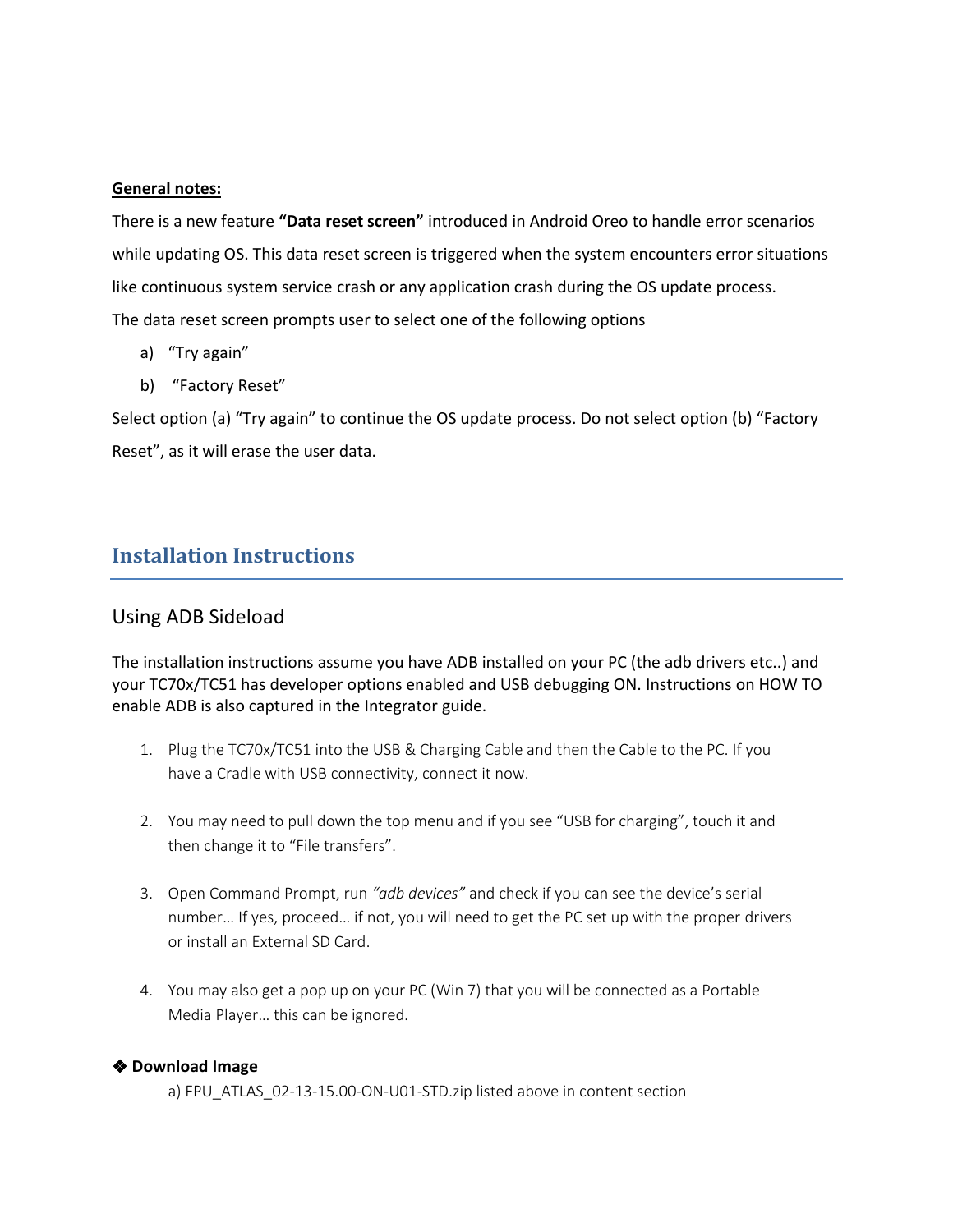#### **General notes:**

There is a new feature **"Data reset screen"** introduced in Android Oreo to handle error scenarios while updating OS. This data reset screen is triggered when the system encounters error situations like continuous system service crash or any application crash during the OS update process. The data reset screen prompts user to select one of the following options

- a) "Try again"
- b) "Factory Reset"

Select option (a) "Try again" to continue the OS update process. Do not select option (b) "Factory Reset", as it will erase the user data.

### <span id="page-9-0"></span>**Installation Instructions**

#### Using ADB Sideload

The installation instructions assume you have ADB installed on your PC (the adb drivers etc..) and your TC70x/TC51 has developer options enabled and USB debugging ON. Instructions on HOW TO enable ADB is also captured in the Integrator guide.

- 1. Plug the TC70x/TC51 into the USB & Charging Cable and then the Cable to the PC. If you have a Cradle with USB connectivity, connect it now.
- 2. You may need to pull down the top menu and if you see "USB for charging", touch it and then change it to "File transfers".
- 3. Open Command Prompt, run *"adb devices"* and check if you can see the device's serial number… If yes, proceed… if not, you will need to get the PC set up with the proper drivers or install an External SD Card.
- 4. You may also get a pop up on your PC (Win 7) that you will be connected as a Portable Media Player… this can be ignored.

#### ❖ **Download Image**

a) FPU\_ATLAS\_02-13-15.00-ON-U01-STD.zip listed above in content section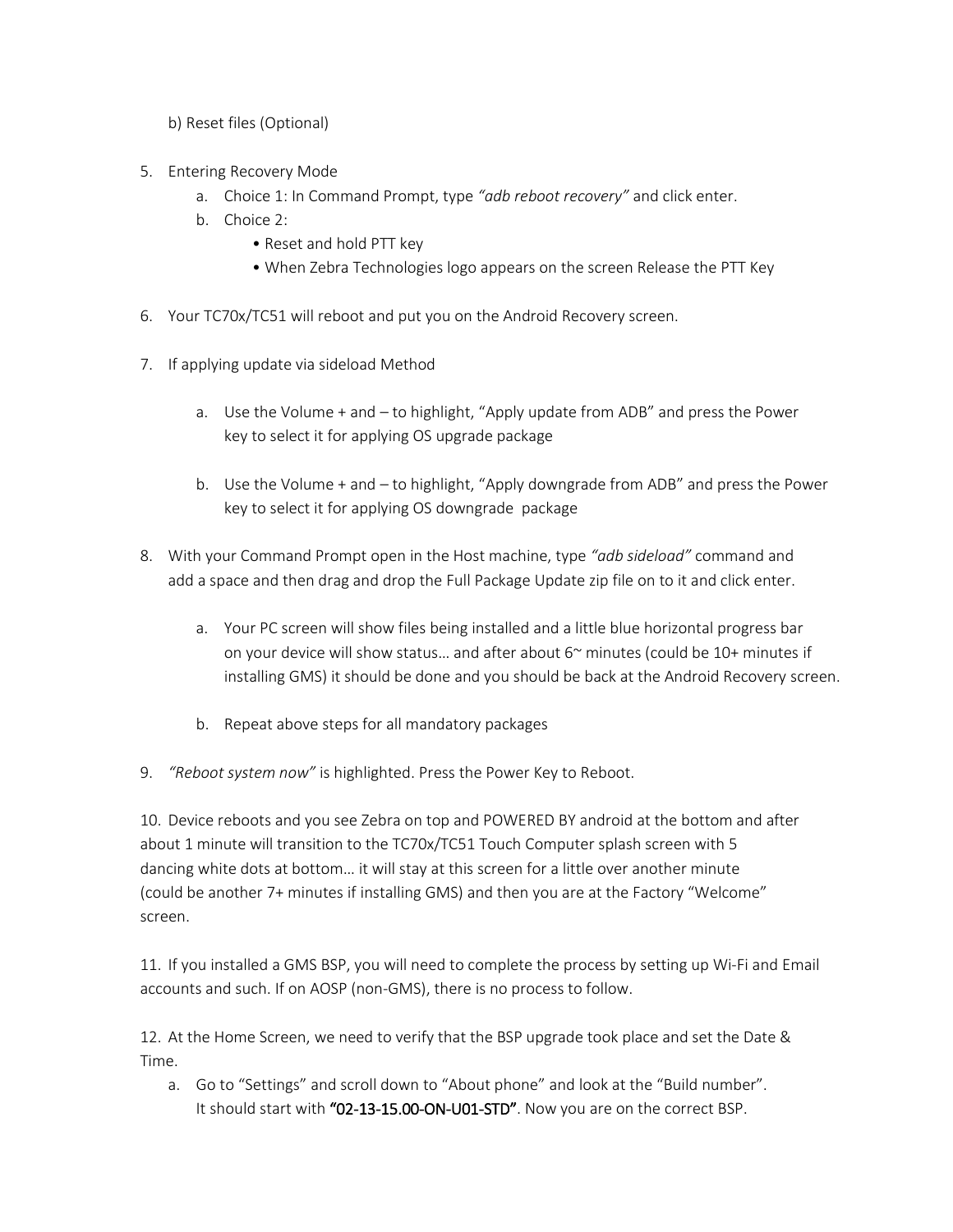b) Reset files (Optional)

- 5. Entering Recovery Mode
	- a. Choice 1: In Command Prompt, type *"adb reboot recovery"* and click enter.
	- b. Choice 2:
		- Reset and hold PTT key
		- When Zebra Technologies logo appears on the screen Release the PTT Key
- 6. Your TC70x/TC51 will reboot and put you on the Android Recovery screen.
- 7. If applying update via sideload Method
	- a. Use the Volume + and to highlight, "Apply update from ADB" and press the Power key to select it for applying OS upgrade package
	- b. Use the Volume + and to highlight, "Apply downgrade from ADB" and press the Power key to select it for applying OS downgrade package
- 8. With your Command Prompt open in the Host machine, type *"adb sideload"* command and add a space and then drag and drop the Full Package Update zip file on to it and click enter.
	- a. Your PC screen will show files being installed and a little blue horizontal progress bar on your device will show status... and after about  $6<sup>o</sup>$  minutes (could be 10+ minutes if installing GMS) it should be done and you should be back at the Android Recovery screen.
	- b. Repeat above steps for all mandatory packages
- 9. *"Reboot system now"* is highlighted. Press the Power Key to Reboot.

10. Device reboots and you see Zebra on top and POWERED BY android at the bottom and after about 1 minute will transition to the TC70x/TC51 Touch Computer splash screen with 5 dancing white dots at bottom… it will stay at this screen for a little over another minute (could be another 7+ minutes if installing GMS) and then you are at the Factory "Welcome" screen.

11. If you installed a GMS BSP, you will need to complete the process by setting up Wi‐Fi and Email accounts and such. If on AOSP (non‐GMS), there is no process to follow.

12. At the Home Screen, we need to verify that the BSP upgrade took place and set the Date & Time.

a. Go to "Settings" and scroll down to "About phone" and look at the "Build number". It should start with "02-13-15.00-ON-U01-STD". Now you are on the correct BSP.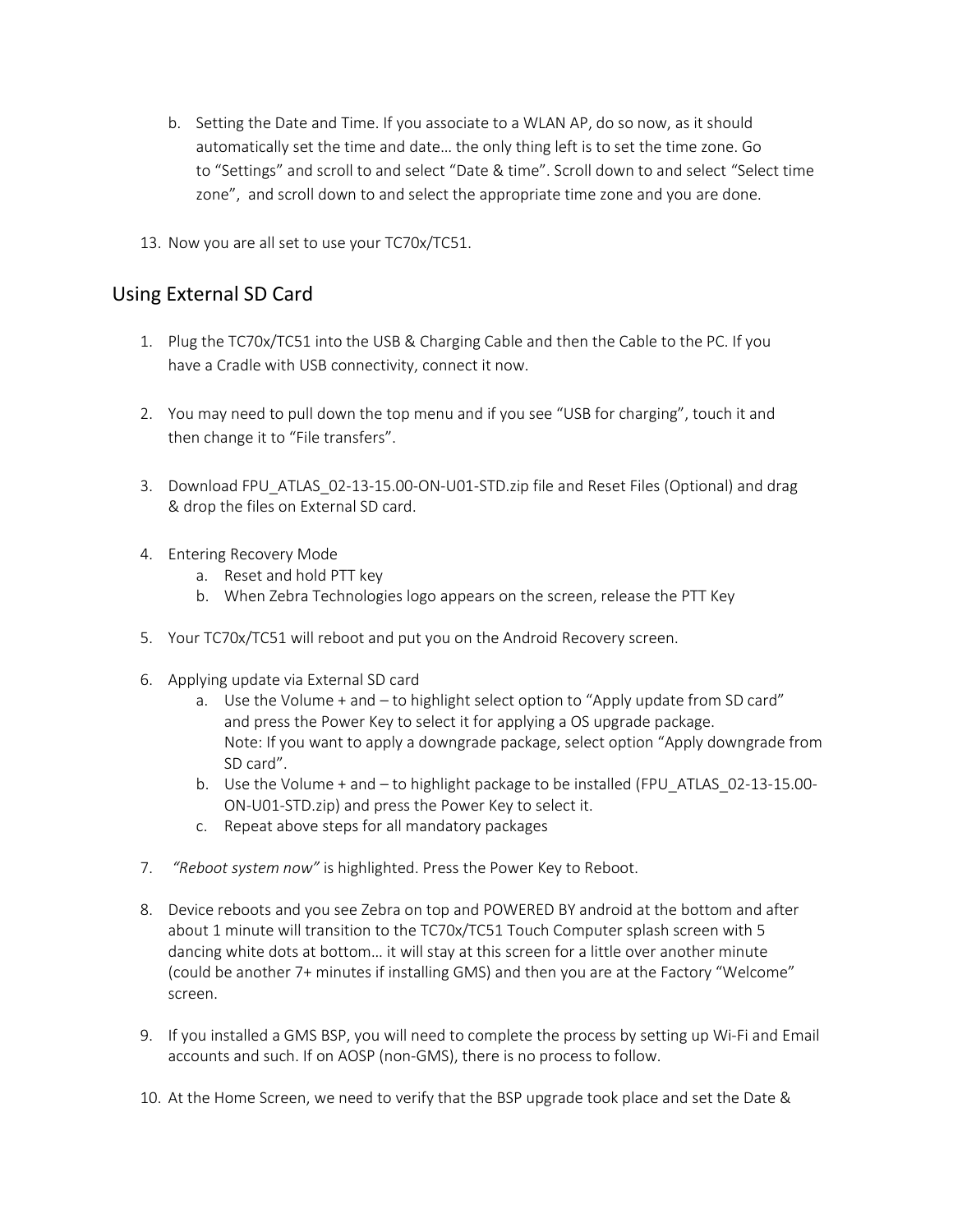- b. Setting the Date and Time. If you associate to a WLAN AP, do so now, as it should automatically set the time and date… the only thing left is to set the time zone. Go to "Settings" and scroll to and select "Date & time". Scroll down to and select "Select time zone", and scroll down to and select the appropriate time zone and you are done.
- 13. Now you are all set to use your TC70x/TC51.

### Using External SD Card

- 1. Plug the TC70x/TC51 into the USB & Charging Cable and then the Cable to the PC. If you have a Cradle with USB connectivity, connect it now.
- 2. You may need to pull down the top menu and if you see "USB for charging", touch it and then change it to "File transfers".
- 3. Download FPU\_ATLAS\_02-13-15.00-ON-U01-STD.zip file and Reset Files (Optional) and drag & drop the files on External SD card.
- 4. Entering Recovery Mode
	- a. Reset and hold PTT key
	- b. When Zebra Technologies logo appears on the screen, release the PTT Key
- 5. Your TC70x/TC51 will reboot and put you on the Android Recovery screen.
- 6. Applying update via External SD card
	- a. Use the Volume + and to highlight select option to "Apply update from SD card" and press the Power Key to select it for applying a OS upgrade package. Note: If you want to apply a downgrade package, select option "Apply downgrade from SD card".
	- b. Use the Volume + and to highlight package to be installed (FPU\_ATLAS\_02-13-15.00- ON-U01-STD.zip) and press the Power Key to select it.
	- c. Repeat above steps for all mandatory packages
- 7. *"Reboot system now"* is highlighted. Press the Power Key to Reboot.
- 8. Device reboots and you see Zebra on top and POWERED BY android at the bottom and after about 1 minute will transition to the TC70x/TC51 Touch Computer splash screen with 5 dancing white dots at bottom… it will stay at this screen for a little over another minute (could be another 7+ minutes if installing GMS) and then you are at the Factory "Welcome" screen.
- 9. If you installed a GMS BSP, you will need to complete the process by setting up Wi-Fi and Email accounts and such. If on AOSP (non‐GMS), there is no process to follow.
- 10. At the Home Screen, we need to verify that the BSP upgrade took place and set the Date &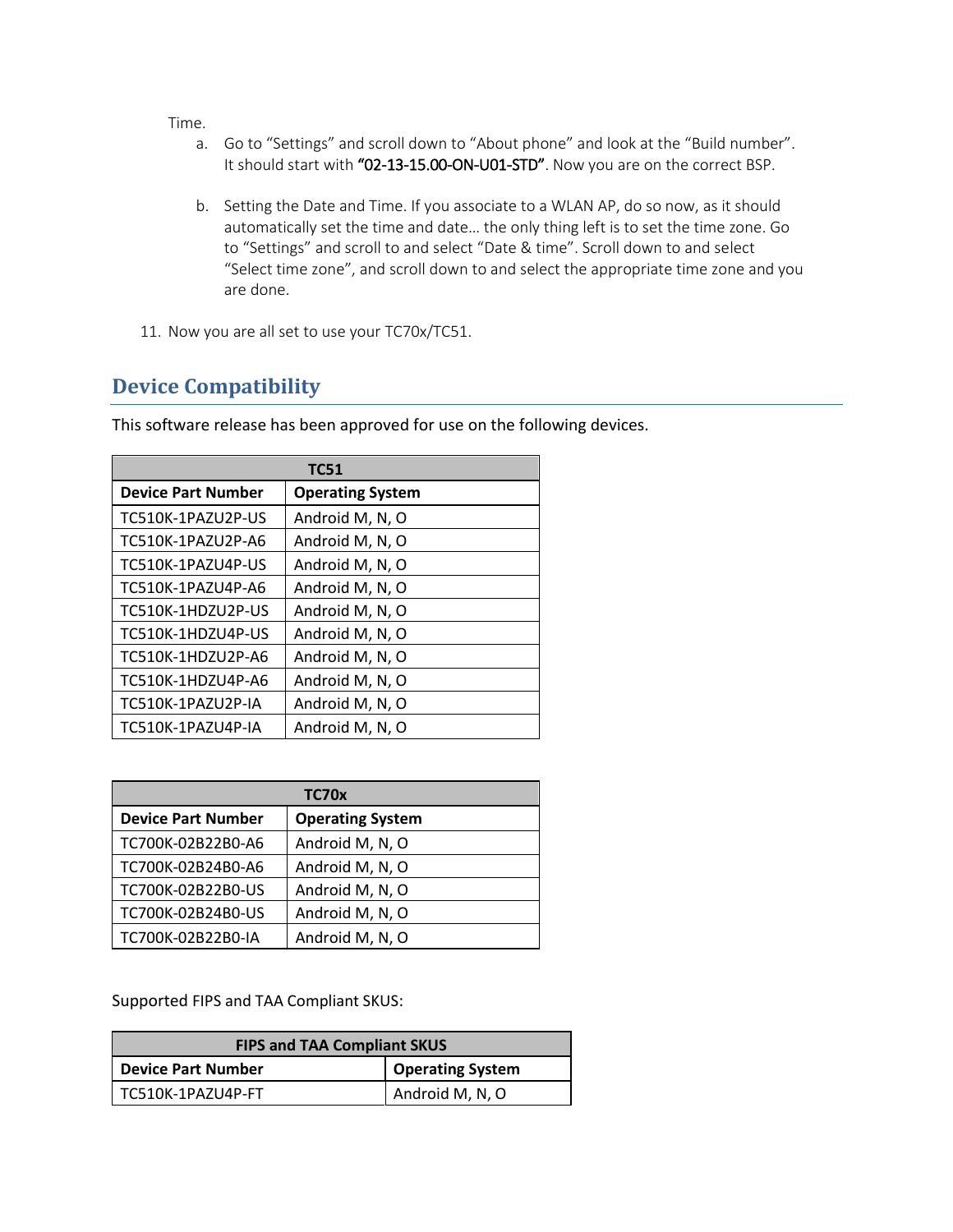Time.

- a. Go to "Settings" and scroll down to "About phone" and look at the "Build number". It should start with "02-13-15.00-ON-U01-STD". Now you are on the correct BSP.
- b. Setting the Date and Time. If you associate to a WLAN AP, do so now, as it should automatically set the time and date… the only thing left is to set the time zone. Go to "Settings" and scroll to and select "Date & time". Scroll down to and select "Select time zone", and scroll down to and select the appropriate time zone and you are done.
- 11. Now you are all set to use your TC70x/TC51.

## <span id="page-12-0"></span>**Device Compatibility**

| <b>TC51</b>               |                         |  |
|---------------------------|-------------------------|--|
| <b>Device Part Number</b> | <b>Operating System</b> |  |
| TC510K-1PAZU2P-US         | Android M, N, O         |  |
| TC510K-1PAZU2P-A6         | Android M, N, O         |  |
| TC510K-1PAZU4P-US         | Android M, N, O         |  |
| TC510K-1PAZU4P-A6         | Android M, N, O         |  |
| TC510K-1HDZU2P-US         | Android M, N, O         |  |
| TC510K-1HDZU4P-US         | Android M, N, O         |  |
| TC510K-1HDZU2P-A6         | Android M, N, O         |  |
| TC510K-1HDZU4P-A6         | Android M, N, O         |  |
| TC510K-1PAZU2P-IA         | Android M, N, O         |  |
| TC510K-1PAZU4P-IA         | Android M, N, O         |  |

This software release has been approved for use on the following devices.

| TC70x                     |                         |  |
|---------------------------|-------------------------|--|
| <b>Device Part Number</b> | <b>Operating System</b> |  |
| TC700K-02B22B0-A6         | Android M, N, O         |  |
| TC700K-02B24B0-A6         | Android M, N, O         |  |
| TC700K-02B22B0-US         | Android M, N, O         |  |
| TC700K-02B24B0-US         | Android M, N, O         |  |
| TC700K-02B22B0-IA         | Android M, N, O         |  |

Supported FIPS and TAA Compliant SKUS:

| <b>FIPS and TAA Compliant SKUS</b> |                         |  |
|------------------------------------|-------------------------|--|
| Device Part Number                 | <b>Operating System</b> |  |
| TC510K-1PAZU4P-FT                  | Android M, N, O         |  |